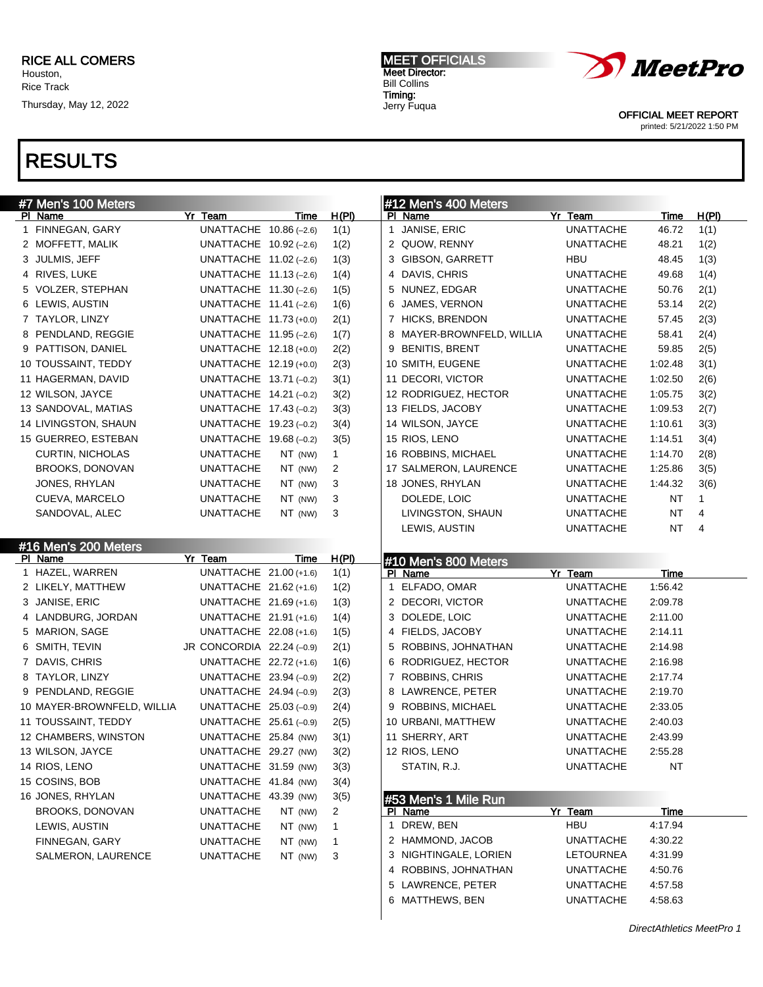## RESULTS

| #7 Men's 100 Meters             |                           |         |              |   | #12 Men's 400 Meters            |                  |             |       |
|---------------------------------|---------------------------|---------|--------------|---|---------------------------------|------------------|-------------|-------|
| PI Name                         | Yr Team                   | Time    | H(PI)        |   | PI Name                         | Yr Team          | <b>Time</b> | H(PI) |
| 1 FINNEGAN, GARY                | UNATTACHE $10.86(-2.6)$   |         | 1(1)         |   | 1 JANISE, ERIC                  | <b>UNATTACHE</b> | 46.72       | 1(1)  |
| 2 MOFFETT, MALIK                | UNATTACHE $10.92$ (-2.6)  |         | 1(2)         |   | 2 QUOW, RENNY                   | <b>UNATTACHE</b> | 48.21       | 1(2)  |
| 3 JULMIS, JEFF                  | UNATTACHE $11.02$ (-2.6)  |         | 1(3)         |   | 3 GIBSON, GARRETT               | HBU              | 48.45       | 1(3)  |
| 4 RIVES, LUKE                   | UNATTACHE $11.13(-2.6)$   |         | 1(4)         |   | 4 DAVIS, CHRIS                  | UNATTACHE        | 49.68       | 1(4)  |
| 5 VOLZER, STEPHAN               | UNATTACHE $11.30(-2.6)$   |         | 1(5)         |   | 5 NUNEZ, EDGAR                  | UNATTACHE        | 50.76       | 2(1)  |
| 6 LEWIS, AUSTIN                 | UNATTACHE $11.41$ (-2.6)  |         | 1(6)         | 6 | JAMES, VERNON                   | UNATTACHE        | 53.14       | 2(2)  |
| 7 TAYLOR, LINZY                 | UNATTACHE 11.73 (+0.0)    |         | 2(1)         |   | 7 HICKS, BRENDON                | <b>UNATTACHE</b> | 57.45       | 2(3)  |
| 8 PENDLAND, REGGIE              | UNATTACHE $11.95$ (-2.6)  |         | 1(7)         |   | 8 MAYER-BROWNFELD, WILLIA       | UNATTACHE        | 58.41       | 2(4)  |
| 9 PATTISON, DANIEL              | UNATTACHE 12.18 (+0.0)    |         | 2(2)         | 9 | <b>BENITIS, BRENT</b>           | UNATTACHE        | 59.85       | 2(5)  |
| 10 TOUSSAINT, TEDDY             | UNATTACHE 12.19 (+0.0)    |         | 2(3)         |   | 10 SMITH, EUGENE                | UNATTACHE        | 1:02.48     | 3(1)  |
| 11 HAGERMAN, DAVID              | UNATTACHE 13.71 (-0.2)    |         | 3(1)         |   | 11 DECORI, VICTOR               | UNATTACHE        | 1:02.50     | 2(6)  |
| 12 WILSON, JAYCE                | UNATTACHE 14.21 (-0.2)    |         | 3(2)         |   | 12 RODRIGUEZ, HECTOR            | UNATTACHE        | 1:05.75     | 3(2)  |
| 13 SANDOVAL, MATIAS             | UNATTACHE 17.43 (-0.2)    |         | 3(3)         |   | 13 FIELDS, JACOBY               | UNATTACHE        | 1:09.53     | 2(7)  |
| 14 LIVINGSTON, SHAUN            | UNATTACHE 19.23 (-0.2)    |         | 3(4)         |   | 14 WILSON, JAYCE                | UNATTACHE        | 1:10.61     | 3(3)  |
| 15 GUERREO, ESTEBAN             | UNATTACHE $19.68(-0.2)$   |         | 3(5)         |   | 15 RIOS, LENO                   | UNATTACHE        | 1:14.51     | 3(4)  |
| <b>CURTIN, NICHOLAS</b>         | <b>UNATTACHE</b>          | NT (NW) | $\mathbf{1}$ |   | 16 ROBBINS, MICHAEL             | UNATTACHE        | 1:14.70     | 2(8)  |
| <b>BROOKS, DONOVAN</b>          | <b>UNATTACHE</b>          | NT (NW) | 2            |   | 17 SALMERON, LAURENCE           | UNATTACHE        | 1:25.86     | 3(5)  |
| JONES, RHYLAN                   | <b>UNATTACHE</b>          | NT (NW) | 3            |   | 18 JONES, RHYLAN                | UNATTACHE        | 1:44.32     | 3(6)  |
| CUEVA, MARCELO                  | <b>UNATTACHE</b>          | NT (NW) | 3            |   | DOLEDE, LOIC                    | UNATTACHE        | <b>NT</b>   | 1     |
| SANDOVAL, ALEC                  | <b>UNATTACHE</b>          | NT (NW) | 3            |   | LIVINGSTON, SHAUN               | UNATTACHE        | <b>NT</b>   | 4     |
|                                 |                           |         |              |   | LEWIS, AUSTIN                   |                  | <b>NT</b>   | 4     |
|                                 |                           |         |              |   |                                 | UNATTACHE        |             |       |
| #16 Men's 200 Meters<br>PI Name | Yr Team                   | Time    | H(PI)        |   |                                 |                  |             |       |
| 1 HAZEL, WARREN                 | UNATTACHE 21.00 (+1.6)    |         | 1(1)         |   | #10 Men's 800 Meters<br>PI Name | Yr Team          | Time        |       |
| 2 LIKELY, MATTHEW               | UNATTACHE 21.62 (+1.6)    |         | 1(2)         |   | 1 ELFADO, OMAR                  | UNATTACHE        | 1:56.42     |       |
| 3 JANISE, ERIC                  | UNATTACHE 21.69 (+1.6)    |         | 1(3)         |   | 2 DECORI, VICTOR                | UNATTACHE        | 2:09.78     |       |
| 4 LANDBURG, JORDAN              | UNATTACHE 21.91 (+1.6)    |         | 1(4)         |   | 3 DOLEDE, LOIC                  | UNATTACHE        | 2:11.00     |       |
| 5 MARION, SAGE                  | UNATTACHE 22.08 (+1.6)    |         | 1(5)         |   | 4 FIELDS, JACOBY                | UNATTACHE        | 2:14.11     |       |
| 6 SMITH, TEVIN                  | JR CONCORDIA 22.24 (-0.9) |         | 2(1)         |   | 5 ROBBINS, JOHNATHAN            | UNATTACHE        | 2:14.98     |       |
| 7 DAVIS, CHRIS                  |                           |         |              |   |                                 |                  | 2:16.98     |       |
|                                 | UNATTACHE 22.72 (+1.6)    |         | 1(6)         |   | 6 RODRIGUEZ, HECTOR             | UNATTACHE        |             |       |
| 8 TAYLOR, LINZY                 | UNATTACHE $23.94 (-0.9)$  |         | 2(2)         |   | 7 ROBBINS, CHRIS                | UNATTACHE        | 2:17.74     |       |
| 9 PENDLAND, REGGIE              | UNATTACHE 24.94 (-0.9)    |         | 2(3)         |   | 8 LAWRENCE, PETER               | <b>UNATTACHE</b> | 2:19.70     |       |
| 10 MAYER-BROWNFELD, WILLIA      | UNATTACHE $25.03$ (-0.9)  |         | 2(4)         |   | 9 ROBBINS, MICHAEL              | UNATTACHE        | 2:33.05     |       |
| 11 TOUSSAINT, TEDDY             | UNATTACHE 25.61 (-0.9)    |         | 2(5)         |   | 10 URBANI, MATTHEW              | UNATTACHE        | 2:40.03     |       |
| 12 CHAMBERS, WINSTON            | UNATTACHE 25.84 (NW)      |         | 3(1)         |   | 11 SHERRY, ART                  | <b>UNATTACHE</b> | 2:43.99     |       |
| 13 WILSON, JAYCE                | UNATTACHE 29.27 (NW)      |         | 3(2)         |   | 12 RIOS, LENO                   | <b>UNATTACHE</b> | 2:55.28     |       |
| 14 RIOS, LENO                   | UNATTACHE 31.59 (NW)      |         | 3(3)         |   | STATIN, R.J.                    | UNATTACHE        | NT          |       |
| 15 COSINS, BOB                  | UNATTACHE 41.84 (NW)      |         | 3(4)         |   |                                 |                  |             |       |
| 16 JONES, RHYLAN                | UNATTACHE 43.39 (NW)      |         | 3(5)         |   | #53 Men's 1 Mile Run            |                  |             |       |
| BROOKS, DONOVAN                 | <b>UNATTACHE</b>          | NT (NW) | 2            |   | PI Name                         | Yr Team          | Time        |       |
| LEWIS, AUSTIN                   | <b>UNATTACHE</b>          | NT (NW) | 1            |   | 1 DREW, BEN                     | HBU              | 4:17.94     |       |
| FINNEGAN, GARY                  | <b>UNATTACHE</b>          | NT (NW) | $\mathbf{1}$ |   | 2 HAMMOND, JACOB                | <b>UNATTACHE</b> | 4:30.22     |       |
| SALMERON, LAURENCE              | <b>UNATTACHE</b>          | NT (NW) | 3            |   | 3 NIGHTINGALE, LORIEN           | LETOURNEA        | 4:31.99     |       |
|                                 |                           |         |              |   | 4 ROBBINS, JOHNATHAN            | <b>UNATTACHE</b> | 4:50.76     |       |
|                                 |                           |         |              |   | 5 LAWRENCE, PETER               | <b>UNATTACHE</b> | 4:57.58     |       |
|                                 |                           |         |              |   | 6 MATTHEWS, BEN                 | <b>UNATTACHE</b> | 4:58.63     |       |



Meet Director: Bill Collins Timing: Jerry Fuqua

MEET OFFICIALS

OFFICIAL MEET REPORT printed: 5/21/2022 1:50 PM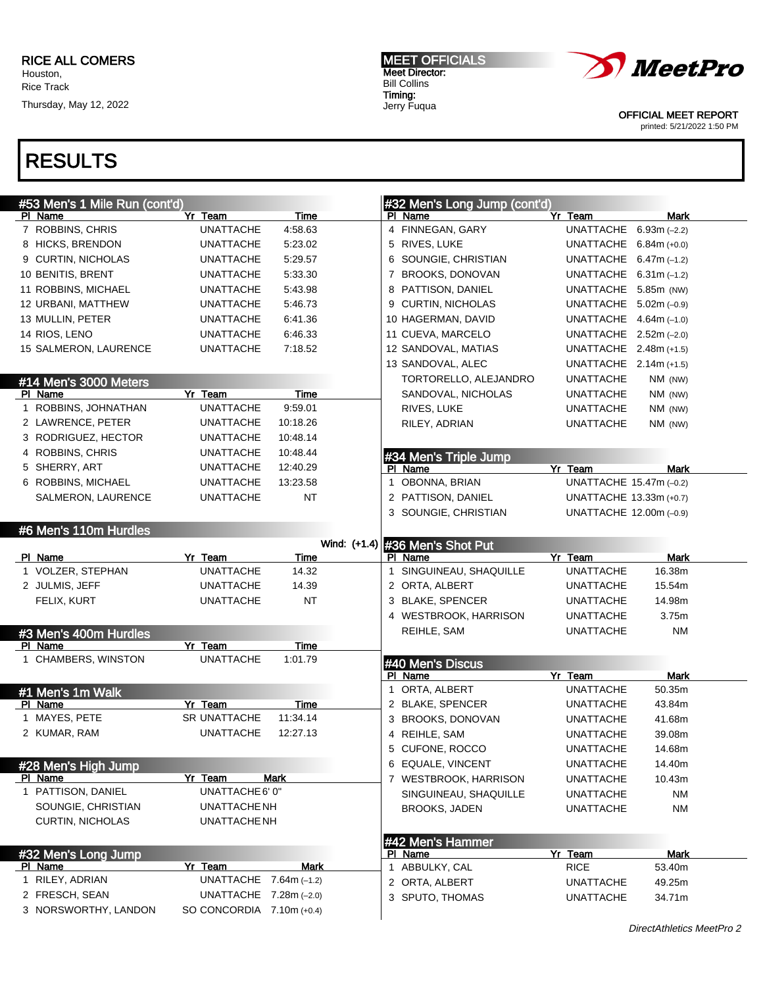## RESULTS

| #53 Men's 1 Mile Run (cont'd) |                           |             | #32 Men's Long Jump (cont'd)                                          |
|-------------------------------|---------------------------|-------------|-----------------------------------------------------------------------|
| PI Name                       | Yr Team                   | Time        | PI Name<br><b>Mark</b><br>Yr Team                                     |
| 7 ROBBINS, CHRIS              | <b>UNATTACHE</b>          | 4:58.63     | 4 FINNEGAN, GARY<br>UNATTACHE 6.93m (-2.2)                            |
| 8 HICKS, BRENDON              | <b>UNATTACHE</b>          | 5:23.02     | 5 RIVES, LUKE<br>UNATTACHE 6.84m (+0.0)                               |
| 9 CURTIN, NICHOLAS            | <b>UNATTACHE</b>          | 5:29.57     | 6 SOUNGIE, CHRISTIAN<br>UNATTACHE $6.47m$ (-1.2)                      |
| 10 BENITIS, BRENT             | <b>UNATTACHE</b>          | 5:33.30     | <b>BROOKS, DONOVAN</b><br>UNATTACHE $6.31$ m (-1.2)<br>$\overline{7}$ |
| 11 ROBBINS, MICHAEL           | <b>UNATTACHE</b>          | 5.43.98     | 8 PATTISON, DANIEL<br>UNATTACHE 5.85m (NW)                            |
| 12 URBANI, MATTHEW            | <b>UNATTACHE</b>          | 5:46.73     | 9 CURTIN, NICHOLAS<br>UNATTACHE $5.02m (-0.9)$                        |
| 13 MULLIN, PETER              | <b>UNATTACHE</b>          | 6:41.36     | 10 HAGERMAN, DAVID<br>UNATTACHE $4.64m$ (-1.0)                        |
| 14 RIOS, LENO                 | <b>UNATTACHE</b>          | 6:46.33     | 11 CUEVA, MARCELO<br>UNATTACHE $2.52m (-2.0)$                         |
| 15 SALMERON, LAURENCE         | <b>UNATTACHE</b>          | 7:18.52     | 12 SANDOVAL, MATIAS<br>UNATTACHE 2.48m (+1.5)                         |
|                               |                           |             | 13 SANDOVAL, ALEC<br>UNATTACHE $2.14m (+1.5)$                         |
| #14 Men's 3000 Meters         |                           |             | TORTORELLO, ALEJANDRO<br><b>UNATTACHE</b><br>NM (NW)                  |
| PI Name                       | Yr Team                   | <b>Time</b> | SANDOVAL, NICHOLAS<br><b>UNATTACHE</b><br>NM (NW)                     |
| 1 ROBBINS, JOHNATHAN          | <b>UNATTACHE</b>          | 9:59.01     | RIVES, LUKE<br><b>UNATTACHE</b><br>NM (NW)                            |
| 2 LAWRENCE, PETER             | <b>UNATTACHE</b>          | 10:18.26    | RILEY, ADRIAN<br><b>UNATTACHE</b><br>NM (NW)                          |
| 3 RODRIGUEZ, HECTOR           | <b>UNATTACHE</b>          | 10:48.14    |                                                                       |
| 4 ROBBINS, CHRIS              | <b>UNATTACHE</b>          | 10:48.44    | #34 Men's Triple Jump                                                 |
| 5 SHERRY, ART                 | <b>UNATTACHE</b>          | 12:40.29    | Yr Team<br>PI Name<br>Mark                                            |
| 6 ROBBINS, MICHAEL            | <b>UNATTACHE</b>          | 13:23.58    | OBONNA, BRIAN<br>UNATTACHE 15.47m (-0.2)<br>$\mathbf{1}$              |
| SALMERON, LAURENCE            | <b>UNATTACHE</b>          | NT          | 2 PATTISON, DANIEL<br>UNATTACHE 13.33m (+0.7)                         |
|                               |                           |             | 3 SOUNGIE, CHRISTIAN<br>UNATTACHE 12.00m (-0.9)                       |
| #6 Men's 110m Hurdles         |                           |             |                                                                       |
|                               |                           |             | Wind: (+1.4) #36 Men's Shot Put                                       |
| PI Name                       | Yr Team                   | Time        | Yr Team<br><b>Mark</b><br>PI Name                                     |
| 1 VOLZER, STEPHAN             | <b>UNATTACHE</b>          | 14.32       | SINGUINEAU, SHAQUILLE<br><b>UNATTACHE</b><br>16.38m<br>$\mathbf{1}$   |
| 2 JULMIS, JEFF                | <b>UNATTACHE</b>          | 14.39       | 2 ORTA, ALBERT<br>15.54m<br><b>UNATTACHE</b>                          |
| FELIX, KURT                   | <b>UNATTACHE</b>          | <b>NT</b>   | 3 BLAKE, SPENCER<br><b>UNATTACHE</b><br>14.98m                        |
|                               |                           |             | 4 WESTBROOK, HARRISON<br><b>UNATTACHE</b><br>3.75m                    |
| #3 Men's 400m Hurdles         |                           |             | <b>NM</b><br>REIHLE, SAM<br><b>UNATTACHE</b>                          |
| PI Name                       | Yr Team                   | Time        |                                                                       |
| 1 CHAMBERS, WINSTON           | <b>UNATTACHE</b>          | 1:01.79     | #40 Men's Discus                                                      |
|                               |                           |             | PI Name<br>Yr Team<br><b>Mark</b>                                     |
| #1 Men's 1m Walk              |                           |             | 1 ORTA, ALBERT<br><b>UNATTACHE</b><br>50.35m                          |
| PI Name                       | Yr Team                   | <b>Time</b> | 2 BLAKE, SPENCER<br>43.84m<br><b>UNATTACHE</b>                        |
| 1 MAYES, PETE                 | <b>SR UNATTACHE</b>       | 11:34.14    | 3 BROOKS, DONOVAN<br><b>UNATTACHE</b><br>41.68m                       |
| 2 KUMAR, RAM                  | <b>UNATTACHE</b>          | 12:27.13    | 4 REIHLE, SAM<br><b>UNATTACHE</b><br>39.08m                           |
|                               |                           |             | 5<br>CUFONE, ROCCO<br><b>UNATTACHE</b><br>14.68m                      |
| #28 Men's High Jump           |                           |             | 6 EQUALE, VINCENT<br><b>UNATTACHE</b><br>14.40m                       |
| PI Name                       | Yr Team                   | <b>Mark</b> | 7 WESTBROOK, HARRISON<br><b>UNATTACHE</b><br>10.43m                   |
| 1 PATTISON, DANIEL            | UNATTACHE 6' 0"           |             | SINGUINEAU, SHAQUILLE<br><b>UNATTACHE</b><br><b>NM</b>                |
| SOUNGIE, CHRISTIAN            | UNATTACHE NH              |             | <b>BROOKS, JADEN</b><br><b>UNATTACHE</b><br><b>NM</b>                 |
| <b>CURTIN, NICHOLAS</b>       | UNATTACHE NH              |             |                                                                       |
|                               |                           |             | #42 Men's Hammer                                                      |
| #32 Men's Long Jump           |                           |             | Yr Team<br>PI Name<br>Mark                                            |
| <b>PI Name</b>                | Yr Team                   | <b>Mark</b> | 1 ABBULKY, CAL<br><b>RICE</b><br>53.40m                               |
| 1 RILEY, ADRIAN               | UNATTACHE $7.64$ m (-1.2) |             | 2 ORTA, ALBERT<br>49.25m<br><b>UNATTACHE</b>                          |
| 2 FRESCH, SEAN                | UNATTACHE $7.28m (-2.0)$  |             | 3 SPUTO, THOMAS<br>34.71m<br><b>UNATTACHE</b>                         |
| 3 NORSWORTHY, LANDON          | SO CONCORDIA 7.10m (+0.4) |             |                                                                       |



Meet Director: Bill Collins Jerry Fuqua

MEET OFFICIALS

Timing:

OFFICIAL MEET REPORT printed: 5/21/2022 1:50 PM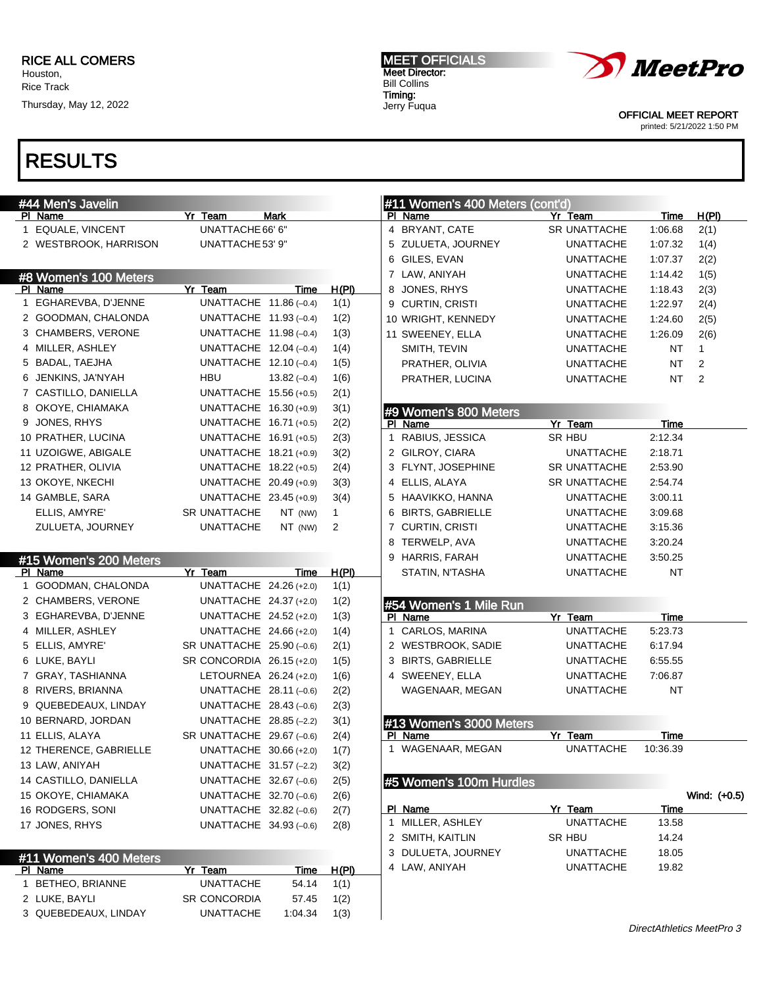## RESULTS

| #44 Men's Javelin                        |                             |              | #11 Women's 400 Meters (cont'd) |                     |           |                |
|------------------------------------------|-----------------------------|--------------|---------------------------------|---------------------|-----------|----------------|
| PI Name                                  | Yr Team<br>Mark             |              | PI Name                         | Yr Team             | Time      | H(PI)          |
| 1 EQUALE, VINCENT                        | UNATTACHE 66' 6"            |              | 4 BRYANT, CATE                  | SR UNATTACHE        | 1:06.68   | 2(1)           |
| 2 WESTBROOK, HARRISON                    | UNATTACHE 53' 9"            |              | 5 ZULUETA, JOURNEY              | <b>UNATTACHE</b>    | 1:07.32   | 1(4)           |
|                                          |                             |              | 6 GILES, EVAN                   | <b>UNATTACHE</b>    | 1:07.37   | 2(2)           |
| #8 Women's 100 Meters                    |                             |              | 7 LAW, ANIYAH                   | <b>UNATTACHE</b>    | 1:14.42   | 1(5)           |
| PI Name                                  | Yr Team<br>Time             | H(PI)        | JONES, RHYS<br>8                | <b>UNATTACHE</b>    | 1:18.43   | 2(3)           |
| 1 EGHAREVBA, D'JENNE                     | UNATTACHE $11.86(-0.4)$     | 1(1)         | 9 CURTIN, CRISTI                | <b>UNATTACHE</b>    | 1:22.97   | 2(4)           |
| 2 GOODMAN, CHALONDA                      | UNATTACHE $11.93(-0.4)$     | 1(2)         | 10 WRIGHT, KENNEDY              | <b>UNATTACHE</b>    | 1:24.60   | 2(5)           |
| 3 CHAMBERS, VERONE                       | UNATTACHE 11.98 (-0.4)      | 1(3)         | 11 SWEENEY, ELLA                | <b>UNATTACHE</b>    | 1:26.09   | 2(6)           |
| 4 MILLER, ASHLEY                         | UNATTACHE $12.04 (-0.4)$    | 1(4)         | SMITH, TEVIN                    | <b>UNATTACHE</b>    | NT        | 1              |
| 5 BADAL, TAEJHA                          | UNATTACHE $12.10(-0.4)$     | 1(5)         | PRATHER, OLIVIA                 | <b>UNATTACHE</b>    | NT        | 2              |
| 6 JENKINS, JA'NYAH                       | HBU<br>$13.82(-0.4)$        | 1(6)         | PRATHER, LUCINA                 | <b>UNATTACHE</b>    | NT        | $\overline{2}$ |
| 7 CASTILLO, DANIELLA                     | UNATTACHE 15.56 (+0.5)      | 2(1)         |                                 |                     |           |                |
| 8 OKOYE, CHIAMAKA                        | UNATTACHE 16.30 (+0.9)      | 3(1)         | #9 Women's 800 Meters           |                     |           |                |
| 9 JONES, RHYS                            | UNATTACHE 16.71 (+0.5)      | 2(2)         | PI Name                         | Yr Team             | Time      |                |
| 10 PRATHER, LUCINA                       | UNATTACHE 16.91 (+0.5)      | 2(3)         | 1 RABIUS, JESSICA               | <b>SR HBU</b>       | 2:12.34   |                |
| 11 UZOIGWE, ABIGALE                      | UNATTACHE 18.21 (+0.9)      | 3(2)         | 2 GILROY, CIARA                 | <b>UNATTACHE</b>    | 2:18.71   |                |
| 12 PRATHER, OLIVIA                       | UNATTACHE 18.22 (+0.5)      | 2(4)         | 3 FLYNT, JOSEPHINE              | <b>SR UNATTACHE</b> | 2:53.90   |                |
| 13 OKOYE, NKECHI                         | UNATTACHE 20.49 (+0.9)      | 3(3)         | 4 ELLIS, ALAYA                  | SR UNATTACHE        | 2:54.74   |                |
| 14 GAMBLE, SARA                          | UNATTACHE 23.45 (+0.9)      | 3(4)         | 5 HAAVIKKO, HANNA               | <b>UNATTACHE</b>    | 3:00.11   |                |
| ELLIS, AMYRE'                            | SR UNATTACHE<br>NT (NW)     | $\mathbf{1}$ | <b>BIRTS, GABRIELLE</b><br>6    | <b>UNATTACHE</b>    | 3:09.68   |                |
| ZULUETA, JOURNEY                         | <b>UNATTACHE</b><br>NT (NW) | 2            | 7 CURTIN, CRISTI                | <b>UNATTACHE</b>    | 3:15.36   |                |
|                                          |                             |              | TERWELP, AVA<br>8               | <b>UNATTACHE</b>    | 3:20.24   |                |
| #15 Women's 200 Meters                   |                             |              | 9 HARRIS, FARAH                 | <b>UNATTACHE</b>    | 3:50.25   |                |
| PI Name                                  | Yr Team<br>Time             | H(PI)        | STATIN, N'TASHA                 | <b>UNATTACHE</b>    | NT        |                |
| 1 GOODMAN, CHALONDA                      | UNATTACHE 24.26 (+2.0)      | 1(1)         |                                 |                     |           |                |
| 2 CHAMBERS, VERONE                       | UNATTACHE 24.37 (+2.0)      | 1(2)         | #54 Women's 1 Mile Run          |                     |           |                |
| 3 EGHAREVBA, D'JENNE                     | UNATTACHE 24.52 (+2.0)      | 1(3)         | PI Name                         | Yr Team             | Time      |                |
| 4 MILLER, ASHLEY                         | UNATTACHE 24.66 (+2.0)      | 1(4)         | CARLOS, MARINA<br>1             | <b>UNATTACHE</b>    | 5:23.73   |                |
| 5 ELLIS, AMYRE'                          | SR UNATTACHE 25.90 (-0.6)   | 2(1)         | 2 WESTBROOK, SADIE              | <b>UNATTACHE</b>    | 6:17.94   |                |
| 6 LUKE, BAYLI                            | SR CONCORDIA 26.15 (+2.0)   | 1(5)         | 3 BIRTS, GABRIELLE              | <b>UNATTACHE</b>    | 6:55.55   |                |
| 7 GRAY, TASHIANNA                        | LETOURNEA 26.24 (+2.0)      | 1(6)         | 4 SWEENEY, ELLA                 | <b>UNATTACHE</b>    | 7:06.87   |                |
| 8 RIVERS, BRIANNA                        | UNATTACHE $28.11(-0.6)$     | 2(2)         | WAGENAAR, MEGAN                 | <b>UNATTACHE</b>    | <b>NT</b> |                |
| 9 QUEBEDEAUX, LINDAY                     | UNATTACHE $28.43(-0.6)$     | 2(3)         |                                 |                     |           |                |
| 10 BERNARD, JORDAN                       | UNATTACHE 28.85 (-2.2)      | 3(1)         | #13 Women's 3000 Meters         |                     |           |                |
| 11 ELLIS, ALAYA                          | SR UNATTACHE 29.67 (-0.6)   | 2(4)         | PI Name                         | Yr Team             | Time      |                |
| 12 THERENCE, GABRIELLE                   |                             |              | 1 WAGENAAR, MEGAN               | <b>UNATTACHE</b>    | 10:36.39  |                |
|                                          | UNATTACHE 30.66 (+2.0)      | 1(7)         |                                 |                     |           |                |
| 13 LAW, ANIYAH                           | UNATTACHE 31.57 (-2.2)      | 3(2)         |                                 |                     |           |                |
| 14 CASTILLO, DANIELLA                    | UNATTACHE 32.67 (-0.6)      | 2(5)         | #5 Women's 100m Hurdles         |                     |           |                |
| 15 OKOYE, CHIAMAKA                       | UNATTACHE 32.70 (-0.6)      | 2(6)         |                                 |                     |           | Wind: (+0.5)   |
| 16 RODGERS, SONI                         | UNATTACHE 32.82 (-0.6)      | 2(7)         | PI Name                         | Yr Team             | Time      |                |
| 17 JONES, RHYS                           | UNATTACHE $34.93(-0.6)$     | 2(8)         | 1 MILLER, ASHLEY                | <b>UNATTACHE</b>    | 13.58     |                |
|                                          |                             |              | 2 SMITH, KAITLIN                | SR HBU              | 14.24     |                |
|                                          |                             |              | 3 DULUETA, JOURNEY              | <b>UNATTACHE</b>    | 18.05     |                |
| #11 Women's 400 Meters<br><u>PI Name</u> | Yr Team<br><b>Time</b>      | <u>H(PI)</u> | 4 LAW, ANIYAH                   | <b>UNATTACHE</b>    | 19.82     |                |
| 1 BETHEO, BRIANNE                        | <b>UNATTACHE</b><br>54.14   | 1(1)         |                                 |                     |           |                |
| 2 LUKE, BAYLI                            | SR CONCORDIA<br>57.45       | 1(2)         |                                 |                     |           |                |
| 3 QUEBEDEAUX, LINDAY                     | <b>UNATTACHE</b><br>1:04.34 | 1(3)         |                                 |                     |           |                |

MEET OFFICIALS Meet Director: Bill Collins Timing: Jerry Fuqua



OFFICIAL MEET REPORT printed: 5/21/2022 1:50 PM